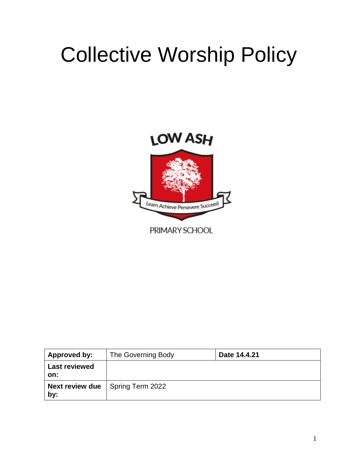# Collective Worship Policy



| Approved by:                | The Governing Body                        | Date 14.4.21 |
|-----------------------------|-------------------------------------------|--------------|
| <b>Last reviewed</b><br>on: |                                           |              |
| by:                         | <b>Next review due</b>   Spring Term 2022 |              |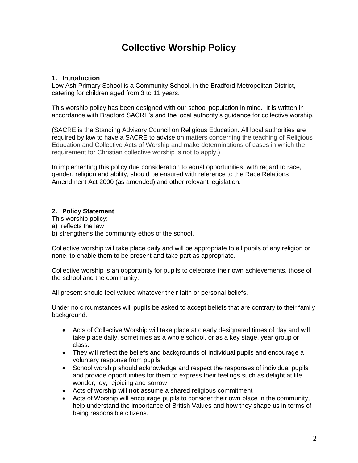# **Collective Worship Policy**

#### **1. Introduction**

Low Ash Primary School is a Community School, in the Bradford Metropolitan District, catering for children aged from 3 to 11 years.

This worship policy has been designed with our school population in mind. It is written in accordance with Bradford SACRE's and the local authority's guidance for collective worship.

(SACRE is the Standing Advisory Council on Religious Education. All local authorities are required by law to have a SACRE to advise on matters concerning the teaching of Religious Education and Collective Acts of Worship and make determinations of cases in which the requirement for Christian collective worship is not to apply.)

In implementing this policy due consideration to equal opportunities, with regard to race, gender, religion and ability, should be ensured with reference to the Race Relations Amendment Act 2000 (as amended) and other relevant legislation.

#### **2. Policy Statement**

This worship policy:

- a) reflects the law
- b) strengthens the community ethos of the school.

Collective worship will take place daily and will be appropriate to all pupils of any religion or none, to enable them to be present and take part as appropriate.

Collective worship is an opportunity for pupils to celebrate their own achievements, those of the school and the community.

All present should feel valued whatever their faith or personal beliefs.

Under no circumstances will pupils be asked to accept beliefs that are contrary to their family background.

- Acts of Collective Worship will take place at clearly designated times of day and will take place daily, sometimes as a whole school, or as a key stage, year group or class.
- They will reflect the beliefs and backgrounds of individual pupils and encourage a voluntary response from pupils
- School worship should acknowledge and respect the responses of individual pupils and provide opportunities for them to express their feelings such as delight at life, wonder, joy, rejoicing and sorrow
- Acts of worship will **not** assume a shared religious commitment
- Acts of Worship will encourage pupils to consider their own place in the community, help understand the importance of British Values and how they shape us in terms of being responsible citizens.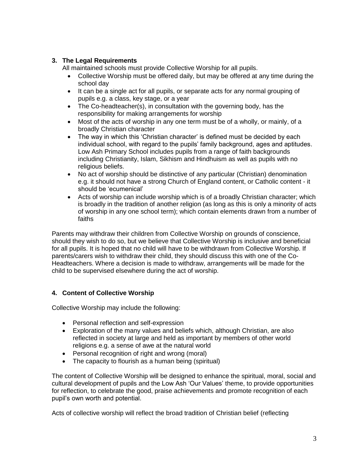### **3. The Legal Requirements**

All maintained schools must provide Collective Worship for all pupils.

- Collective Worship must be offered daily, but may be offered at any time during the school day
- It can be a single act for all pupils, or separate acts for any normal grouping of pupils e.g. a class, key stage, or a year
- The Co-headteacher(s), in consultation with the governing body, has the responsibility for making arrangements for worship
- Most of the acts of worship in any one term must be of a wholly, or mainly, of a broadly Christian character
- The way in which this 'Christian character' is defined must be decided by each individual school, with regard to the pupils' family background, ages and aptitudes. Low Ash Primary School includes pupils from a range of faith backgrounds including Christianity, Islam, Sikhism and Hindhuism as well as pupils with no religious beliefs.
- No act of worship should be distinctive of any particular (Christian) denomination e.g. it should not have a strong Church of England content, or Catholic content - it should be 'ecumenical'
- Acts of worship can include worship which is of a broadly Christian character; which is broadly in the tradition of another religion (as long as this is only a minority of acts of worship in any one school term); which contain elements drawn from a number of faiths

Parents may withdraw their children from Collective Worship on grounds of conscience, should they wish to do so, but we believe that Collective Worship is inclusive and beneficial for all pupils. It is hoped that no child will have to be withdrawn from Collective Worship. If parents/carers wish to withdraw their child, they should discuss this with one of the Co-Headteachers. Where a decision is made to withdraw, arrangements will be made for the child to be supervised elsewhere during the act of worship.

## **4. Content of Collective Worship**

Collective Worship may include the following:

- Personal reflection and self-expression
- Exploration of the many values and beliefs which, although Christian, are also reflected in society at large and held as important by members of other world religions e.g. a sense of awe at the natural world
- Personal recognition of right and wrong (moral)
- The capacity to flourish as a human being (spiritual)

The content of Collective Worship will be designed to enhance the spiritual, moral, social and cultural development of pupils and the Low Ash 'Our Values' theme, to provide opportunities for reflection, to celebrate the good, praise achievements and promote recognition of each pupil's own worth and potential.

Acts of collective worship will reflect the broad tradition of Christian belief (reflecting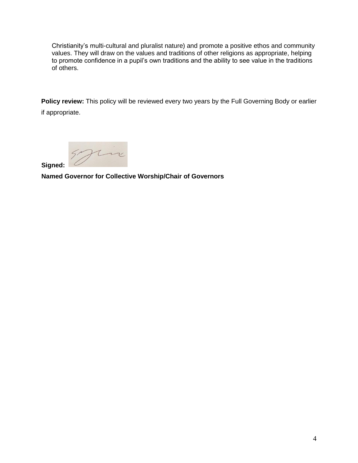Christianity's multi-cultural and pluralist nature) and promote a positive ethos and community values. They will draw on the values and traditions of other religions as appropriate, helping to promote confidence in a pupil's own traditions and the ability to see value in the traditions of others.

**Policy review:** This policy will be reviewed every two years by the Full Governing Body or earlier if appropriate.

 **Signed:** 

 **Named Governor for Collective Worship/Chair of Governors**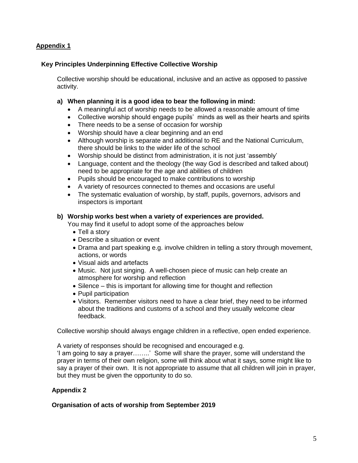#### **Appendix 1**

#### **Key Principles Underpinning Effective Collective Worship**

Collective worship should be educational, inclusive and an active as opposed to passive activity.

#### **a) When planning it is a good idea to bear the following in mind:**

- A meaningful act of worship needs to be allowed a reasonable amount of time
- Collective worship should engage pupils' minds as well as their hearts and spirits
- There needs to be a sense of occasion for worship
- Worship should have a clear beginning and an end
- Although worship is separate and additional to RE and the National Curriculum, there should be links to the wider life of the school
- Worship should be distinct from administration, it is not just 'assembly'
- Language, content and the theology (the way God is described and talked about) need to be appropriate for the age and abilities of children
- Pupils should be encouraged to make contributions to worship
- A variety of resources connected to themes and occasions are useful
- The systematic evaluation of worship, by staff, pupils, governors, advisors and inspectors is important

#### **b) Worship works best when a variety of experiences are provided.**

You may find it useful to adopt some of the approaches below

- Tell a story
- Describe a situation or event
- Drama and part speaking e.g. involve children in telling a story through movement, actions, or words
- Visual aids and artefacts
- Music. Not just singing. A well-chosen piece of music can help create an atmosphere for worship and reflection
- Silence this is important for allowing time for thought and reflection
- Pupil participation
- Visitors. Remember visitors need to have a clear brief, they need to be informed about the traditions and customs of a school and they usually welcome clear feedback.

Collective worship should always engage children in a reflective, open ended experience.

A variety of responses should be recognised and encouraged e.g.

'I am going to say a prayer……..' Some will share the prayer, some will understand the prayer in terms of their own religion, some will think about what it says, some might like to say a prayer of their own. It is not appropriate to assume that all children will join in prayer, but they must be given the opportunity to do so.

#### **Appendix 2**

#### **Organisation of acts of worship from September 2019**